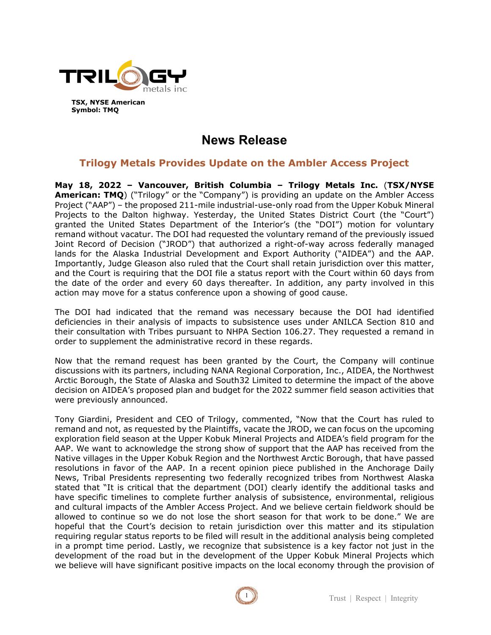

**TSX, NYSE American Symbol: TMQ**

# **News Release**

# **Trilogy Metals Provides Update on the Ambler Access Project**

**May 18, 2022 – Vancouver, British Columbia – Trilogy Metals Inc.** (**TSX/NYSE American: TMQ**) ("Trilogy" or the "Company") is providing an update on the Ambler Access Project ("AAP") – the proposed 211-mile industrial-use-only road from the Upper Kobuk Mineral Projects to the Dalton highway. Yesterday, the United States District Court (the "Court") granted the United States Department of the Interior's (the "DOI") motion for voluntary remand without vacatur. The DOI had requested the voluntary remand of the previously issued Joint Record of Decision ("JROD") that authorized a right-of-way across federally managed lands for the Alaska Industrial Development and Export Authority ("AIDEA") and the AAP. Importantly, Judge Gleason also ruled that the Court shall retain jurisdiction over this matter, and the Court is requiring that the DOI file a status report with the Court within 60 days from the date of the order and every 60 days thereafter. In addition, any party involved in this action may move for a status conference upon a showing of good cause.

The DOI had indicated that the remand was necessary because the DOI had identified deficiencies in their analysis of impacts to subsistence uses under ANILCA Section 810 and their consultation with Tribes pursuant to NHPA Section 106.27. They requested a remand in order to supplement the administrative record in these regards.

Now that the remand request has been granted by the Court, the Company will continue discussions with its partners, including NANA Regional Corporation, Inc., AIDEA, the Northwest Arctic Borough, the State of Alaska and South32 Limited to determine the impact of the above decision on AIDEA's proposed plan and budget for the 2022 summer field season activities that were previously announced.

Tony Giardini, President and CEO of Trilogy, commented, "Now that the Court has ruled to remand and not, as requested by the Plaintiffs, vacate the JROD, we can focus on the upcoming exploration field season at the Upper Kobuk Mineral Projects and AIDEA's field program for the AAP. We want to acknowledge the strong show of support that the AAP has received from the Native villages in the Upper Kobuk Region and the Northwest Arctic Borough, that have passed resolutions in favor of the AAP. In a recent opinion piece published in the Anchorage Daily News, Tribal Presidents representing two federally recognized tribes from Northwest Alaska stated that "It is critical that the department (DOI) clearly identify the additional tasks and have specific timelines to complete further analysis of subsistence, environmental, religious and cultural impacts of the Ambler Access Project. And we believe certain fieldwork should be allowed to continue so we do not lose the short season for that work to be done." We are hopeful that the Court's decision to retain jurisdiction over this matter and its stipulation requiring regular status reports to be filed will result in the additional analysis being completed in a prompt time period. Lastly, we recognize that subsistence is a key factor not just in the development of the road but in the development of the Upper Kobuk Mineral Projects which we believe will have significant positive impacts on the local economy through the provision of